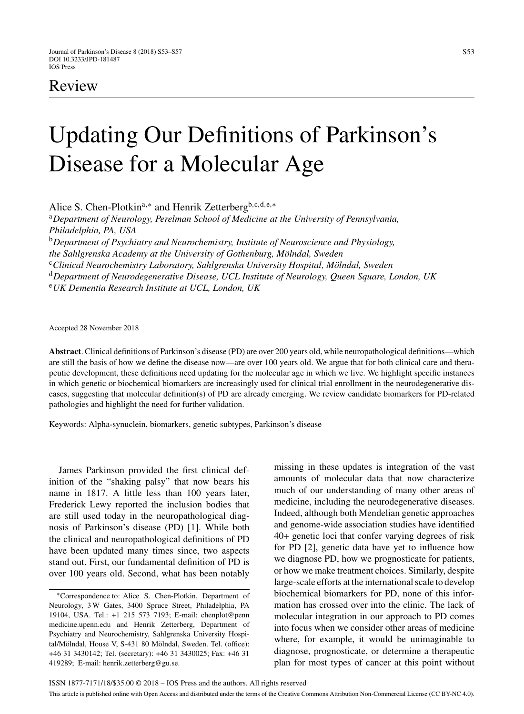# Review

# Updating Our Definitions of Parkinson's Disease for a Molecular Age

Alice S. Chen-Plotkin<sup>a,∗</sup> and Henrik Zetterberg<sup>b,c,d,e,∗</sup>

<sup>a</sup>*Department of Neurology, Perelman School of Medicine at the University of Pennsylvania, Philadelphia, PA, USA* <sup>b</sup>*Department of Psychiatry and Neurochemistry, Institute of Neuroscience and Physiology,*

*the Sahlgrenska Academy at the University of Gothenburg, Mölndal, Sweden* 

<sup>c</sup>Clinical Neurochemistry Laboratory, Sahlgrenska University Hospital, Mölndal, Sweden

<sup>d</sup>*Department of Neurodegenerative Disease, UCL Institute of Neurology, Queen Square, London, UK*

<sup>e</sup>*UK Dementia Research Institute at UCL, London, UK*

Accepted 28 November 2018

**Abstract**. Clinical definitions of Parkinson's disease (PD) are over 200 years old, while neuropathological definitions—which are still the basis of how we define the disease now—are over 100 years old. We argue that for both clinical care and therapeutic development, these definitions need updating for the molecular age in which we live. We highlight specific instances in which genetic or biochemical biomarkers are increasingly used for clinical trial enrollment in the neurodegenerative diseases, suggesting that molecular definition(s) of PD are already emerging. We review candidate biomarkers for PD-related pathologies and highlight the need for further validation.

Keywords: Alpha-synuclein, biomarkers, genetic subtypes, Parkinson's disease

James Parkinson provided the first clinical definition of the "shaking palsy" that now bears his name in 1817. A little less than 100 years later, Frederick Lewy reported the inclusion bodies that are still used today in the neuropathological diagnosis of Parkinson's disease (PD) [1]. While both the clinical and neuropathological definitions of PD have been updated many times since, two aspects stand out. First, our fundamental definition of PD is over 100 years old. Second, what has been notably

∗Correspondence to: Alice S. Chen-Plotkin, Department of Neurology, 3 W Gates, 3400 Spruce Street, Philadelphia, PA 19104, USA. Tel.: +1 215 573 7193; E-mail: chenplot@penn medicine.upenn.edu and Henrik Zetterberg, Department of Psychiatry and Neurochemistry, Sahlgrenska University Hospital/Mölndal, House V, S-431 80 Mölndal, Sweden. Tel. (office): +46 31 3430142; Tel. (secretary): +46 31 3430025; Fax: +46 31 419289; E-mail: [henrik.zetterberg@gu.se](mailto:henrik.zetterberg@gu.se).

missing in these updates is integration of the vast amounts of molecular data that now characterize much of our understanding of many other areas of medicine, including the neurodegenerative diseases. Indeed, although both Mendelian genetic approaches and genome-wide association studies have identified 40+ genetic loci that confer varying degrees of risk for PD [2], genetic data have yet to influence how we diagnose PD, how we prognosticate for patients, or how we make treatment choices. Similarly, despite large-scale efforts at the international scale to develop biochemical biomarkers for PD, none of this information has crossed over into the clinic. The lack of molecular integration in our approach to PD comes into focus when we consider other areas of medicine where, for example, it would be unimaginable to diagnose, prognosticate, or determine a therapeutic plan for most types of cancer at this point without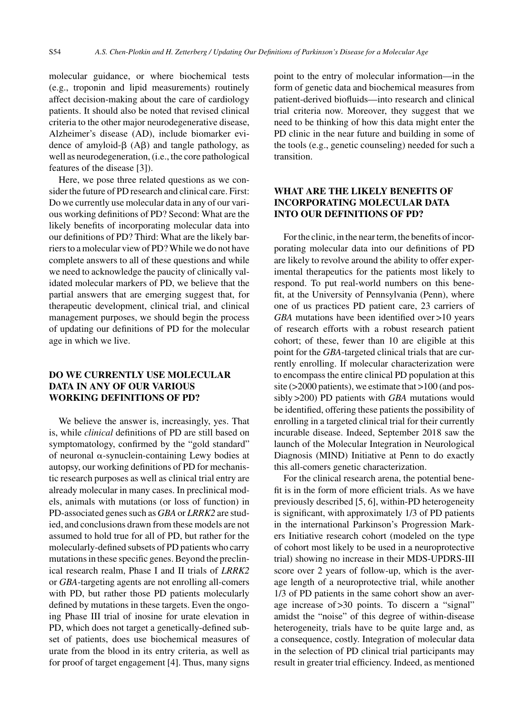molecular guidance, or where biochemical tests (e.g., troponin and lipid measurements) routinely affect decision-making about the care of cardiology patients. It should also be noted that revised clinical criteria to the other major neurodegenerative disease, Alzheimer's disease (AD), include biomarker evidence of amyloid- $\beta$  (A $\beta$ ) and tangle pathology, as well as neurodegeneration, (i.e., the core pathological features of the disease [3]).

Here, we pose three related questions as we consider the future of PD research and clinical care. First: Do we currently use molecular data in any of our various working definitions of PD? Second: What are the likely benefits of incorporating molecular data into our definitions of PD? Third: What are the likely barriers to a molecular view of PD? While we do not have complete answers to all of these questions and while we need to acknowledge the paucity of clinically validated molecular markers of PD, we believe that the partial answers that are emerging suggest that, for therapeutic development, clinical trial, and clinical management purposes, we should begin the process of updating our definitions of PD for the molecular age in which we live.

## **DO WE CURRENTLY USE MOLECULAR DATA IN ANY OF OUR VARIOUS WORKING DEFINITIONS OF PD?**

We believe the answer is, increasingly, yes. That is, while *clinical* definitions of PD are still based on symptomatology, confirmed by the "gold standard" of neuronal  $\alpha$ -synuclein-containing Lewy bodies at autopsy, our working definitions of PD for mechanistic research purposes as well as clinical trial entry are already molecular in many cases. In preclinical models, animals with mutations (or loss of function) in PD-associated genes such as *GBA* or *LRRK2* are studied, and conclusions drawn from these models are not assumed to hold true for all of PD, but rather for the molecularly-defined subsets of PD patients who carry mutations in these specific genes. Beyond the preclinical research realm, Phase I and II trials of *LRRK2* or *GBA*-targeting agents are not enrolling all-comers with PD, but rather those PD patients molecularly defined by mutations in these targets. Even the ongoing Phase III trial of inosine for urate elevation in PD, which does not target a genetically-defined subset of patients, does use biochemical measures of urate from the blood in its entry criteria, as well as for proof of target engagement [4]. Thus, many signs

point to the entry of molecular information—in the form of genetic data and biochemical measures from patient-derived biofluids—into research and clinical trial criteria now. Moreover, they suggest that we need to be thinking of how this data might enter the PD clinic in the near future and building in some of the tools (e.g., genetic counseling) needed for such a transition.

# **WHAT ARE THE LIKELY BENEFITS OF INCORPORATING MOLECULAR DATA INTO OUR DEFINITIONS OF PD?**

For the clinic, in the near term, the benefits of incorporating molecular data into our definitions of PD are likely to revolve around the ability to offer experimental therapeutics for the patients most likely to respond. To put real-world numbers on this benefit, at the University of Pennsylvania (Penn), where one of us practices PD patient care, 23 carriers of *GBA* mutations have been identified over >10 years of research efforts with a robust research patient cohort; of these, fewer than 10 are eligible at this point for the *GBA*-targeted clinical trials that are currently enrolling. If molecular characterization were to encompass the entire clinical PD population at this site (>2000 patients), we estimate that >100 (and possibly >200) PD patients with *GBA* mutations would be identified, offering these patients the possibility of enrolling in a targeted clinical trial for their currently incurable disease. Indeed, September 2018 saw the launch of the Molecular Integration in Neurological Diagnosis (MIND) Initiative at Penn to do exactly this all-comers genetic characterization.

For the clinical research arena, the potential benefit is in the form of more efficient trials. As we have previously described [5, 6], within-PD heterogeneity is significant, with approximately 1/3 of PD patients in the international Parkinson's Progression Markers Initiative research cohort (modeled on the type of cohort most likely to be used in a neuroprotective trial) showing no increase in their MDS-UPDRS-III score over 2 years of follow-up, which is the average length of a neuroprotective trial, while another 1/3 of PD patients in the same cohort show an average increase of >30 points. To discern a "signal" amidst the "noise" of this degree of within-disease heterogeneity, trials have to be quite large and, as a consequence, costly. Integration of molecular data in the selection of PD clinical trial participants may result in greater trial efficiency. Indeed, as mentioned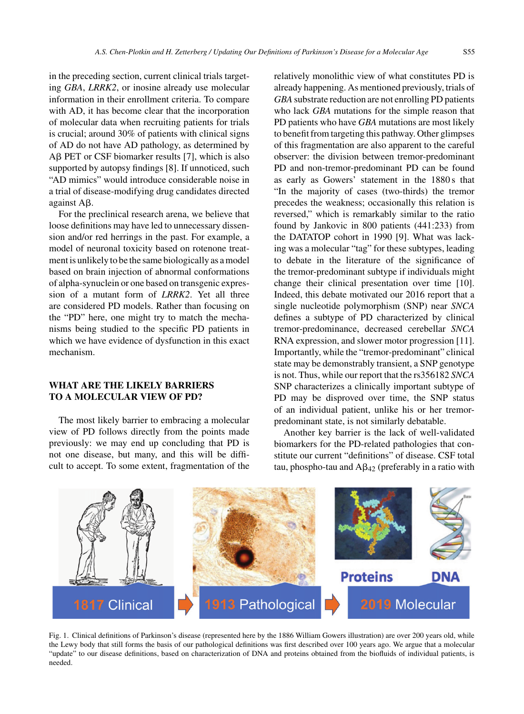in the preceding section, current clinical trials targeting *GBA*, *LRRK2*, or inosine already use molecular information in their enrollment criteria. To compare with AD, it has become clear that the incorporation of molecular data when recruiting patients for trials is crucial; around 30% of patients with clinical signs of AD do not have AD pathology, as determined by  $\text{AB}$  PET or CSF biomarker results [7], which is also supported by autopsy findings [8]. If unnoticed, such "AD mimics" would introduce considerable noise in a trial of disease-modifying drug candidates directed against Aß.

For the preclinical research arena, we believe that loose definitions may have led to unnecessary dissension and/or red herrings in the past. For example, a model of neuronal toxicity based on rotenone treatment is unlikely to be the same biologically as a model based on brain injection of abnormal conformations of alpha-synuclein or one based on transgenic expression of a mutant form of *LRRK2*. Yet all three are considered PD models. Rather than focusing on the "PD" here, one might try to match the mechanisms being studied to the specific PD patients in which we have evidence of dysfunction in this exact mechanism.

### **WHAT ARE THE LIKELY BARRIERS TO A MOLECULAR VIEW OF PD?**

The most likely barrier to embracing a molecular view of PD follows directly from the points made previously: we may end up concluding that PD is not one disease, but many, and this will be difficult to accept. To some extent, fragmentation of the

relatively monolithic view of what constitutes PD is already happening. As mentioned previously, trials of *GBA* substrate reduction are not enrolling PD patients who lack *GBA* mutations for the simple reason that PD patients who have *GBA* mutations are most likely to benefit from targeting this pathway. Other glimpses of this fragmentation are also apparent to the careful observer: the division between tremor-predominant PD and non-tremor-predominant PD can be found as early as Gowers' statement in the 1880 s that "In the majority of cases (two-thirds) the tremor precedes the weakness; occasionally this relation is reversed," which is remarkably similar to the ratio found by Jankovic in 800 patients (441:233) from the DATATOP cohort in 1990 [9]. What was lacking was a molecular "tag" for these subtypes, leading to debate in the literature of the significance of the tremor-predominant subtype if individuals might change their clinical presentation over time [10]. Indeed, this debate motivated our 2016 report that a single nucleotide polymorphism (SNP) near *SNCA* defines a subtype of PD characterized by clinical tremor-predominance, decreased cerebellar *SNCA* RNA expression, and slower motor progression [11]. Importantly, while the "tremor-predominant" clinical state may be demonstrably transient, a SNP genotype is not. Thus, while our report that the rs356182 *SNCA* SNP characterizes a clinically important subtype of PD may be disproved over time, the SNP status of an individual patient, unlike his or her tremorpredominant state, is not similarly debatable.

Another key barrier is the lack of well-validated biomarkers for the PD-related pathologies that constitute our current "definitions" of disease. CSF total tau, phospho-tau and  $A\beta_{42}$  (preferably in a ratio with



Fig. 1. Clinical definitions of Parkinson's disease (represented here by the 1886 William Gowers illustration) are over 200 years old, while the Lewy body that still forms the basis of our pathological definitions was first described over 100 years ago. We argue that a molecular "update" to our disease definitions, based on characterization of DNA and proteins obtained from the biofluids of individual patients, is needed.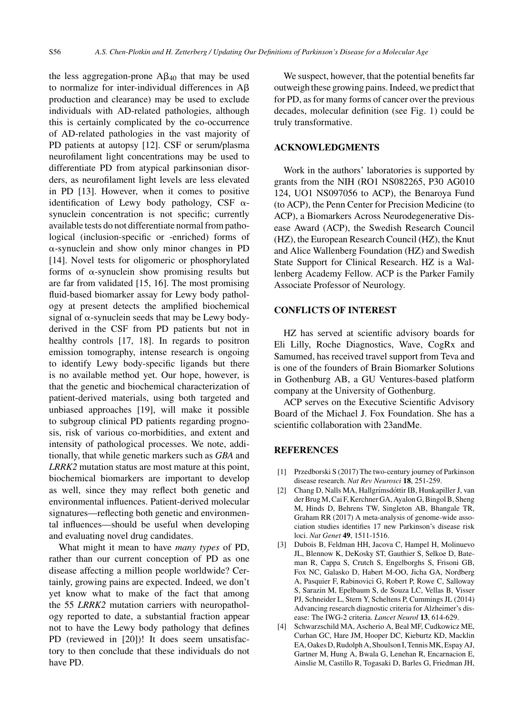the less aggregation-prone  $A\beta_{40}$  that may be used to normalize for inter-individual differences in  $A\beta$ production and clearance) may be used to exclude individuals with AD-related pathologies, although this is certainly complicated by the co-occurrence of AD-related pathologies in the vast majority of PD patients at autopsy [12]. CSF or serum/plasma neurofilament light concentrations may be used to differentiate PD from atypical parkinsonian disorders, as neurofilament light levels are less elevated in PD [13]. However, when it comes to positive identification of Lewy body pathology, CSF  $\alpha$ synuclein concentration is not specific; currently available tests do not differentiate normal from pathological (inclusion-specific or -enriched) forms of  $\alpha$ -synuclein and show only minor changes in PD [14]. Novel tests for oligomeric or phosphorylated forms of  $\alpha$ -synuclein show promising results but are far from validated [15, 16]. The most promising fluid-based biomarker assay for Lewy body pathology at present detects the amplified biochemical signal of  $\alpha$ -synuclein seeds that may be Lewy bodyderived in the CSF from PD patients but not in healthy controls [17, 18]. In regards to positron emission tomography, intense research is ongoing to identify Lewy body-specific ligands but there is no available method yet. Our hope, however, is that the genetic and biochemical characterization of patient-derived materials, using both targeted and unbiased approaches [19], will make it possible to subgroup clinical PD patients regarding prognosis, risk of various co-morbidities, and extent and intensity of pathological processes. We note, additionally, that while genetic markers such as *GBA* and *LRRK2* mutation status are most mature at this point, biochemical biomarkers are important to develop as well, since they may reflect both genetic and environmental influences. Patient-derived molecular signatures—reflecting both genetic and environmental influences—should be useful when developing and evaluating novel drug candidates.

What might it mean to have *many types* of PD, rather than our current conception of PD as one disease affecting a million people worldwide? Certainly, growing pains are expected. Indeed, we don't yet know what to make of the fact that among the 55 *LRRK2* mutation carriers with neuropathology reported to date, a substantial fraction appear not to have the Lewy body pathology that defines PD (reviewed in [20])! It does seem unsatisfactory to then conclude that these individuals do not have PD.

We suspect, however, that the potential benefits far outweigh these growing pains. Indeed, we predict that for PD, as for many forms of cancer over the previous decades, molecular definition (see Fig. 1) could be truly transformative.

#### **ACKNOWLEDGMENTS**

Work in the authors' laboratories is supported by grants from the NIH (RO1 NS082265, P30 AG010 124, UO1 NS097056 to ACP), the Benaroya Fund (to ACP), the Penn Center for Precision Medicine (to ACP), a Biomarkers Across Neurodegenerative Disease Award (ACP), the Swedish Research Council (HZ), the European Research Council (HZ), the Knut and Alice Wallenberg Foundation (HZ) and Swedish State Support for Clinical Research. HZ is a Wallenberg Academy Fellow. ACP is the Parker Family Associate Professor of Neurology.

#### **CONFLICTS OF INTEREST**

HZ has served at scientific advisory boards for Eli Lilly, Roche Diagnostics, Wave, CogRx and Samumed, has received travel support from Teva and is one of the founders of Brain Biomarker Solutions in Gothenburg AB, a GU Ventures-based platform company at the University of Gothenburg.

ACP serves on the Executive Scientific Advisory Board of the Michael J. Fox Foundation. She has a scientific collaboration with 23andMe.

#### **REFERENCES**

- [1] Przedborski S (2017) The two-century journey of Parkinson disease research. *Nat Rev Neurosci* **18**, 251-259.
- [2] Chang D, Nalls MA, Hallgrímsdóttir IB, Hunkapiller J, van der Brug M, Cai F, Kerchner GA, Ayalon G, Bingol B, Sheng M, Hinds D, Behrens TW, Singleton AB, Bhangale TR, Graham RR (2017) A meta-analysis of genome-wide association studies identifies 17 new Parkinson's disease risk loci. *Nat Genet* **49**, 1511-1516.
- [3] Dubois B, Feldman HH, Jacova C, Hampel H, Molinuevo JL, Blennow K, DeKosky ST, Gauthier S, Selkoe D, Bateman R, Cappa S, Crutch S, Engelborghs S, Frisoni GB, Fox NC, Galasko D, Habert M-OO, Jicha GA, Nordberg A, Pasquier F, Rabinovici G, Robert P, Rowe C, Salloway S, Sarazin M, Epelbaum S, de Souza LC, Vellas B, Visser PJ, Schneider L, Stern Y, Scheltens P, Cummings JL (2014) Advancing research diagnostic criteria for Alzheimer's disease: The IWG-2 criteria. *Lancet Neurol* **13**, 614-629.
- [4] Schwarzschild MA, Ascherio A, Beal MF, Cudkowicz ME, Curhan GC, Hare JM, Hooper DC, Kieburtz KD, Macklin EA, Oakes D, Rudolph A, Shoulson I, Tennis MK, Espay AJ, Gartner M, Hung A, Bwala G, Lenehan R, Encarnacion E, Ainslie M, Castillo R, Togasaki D, Barles G, Friedman JH,